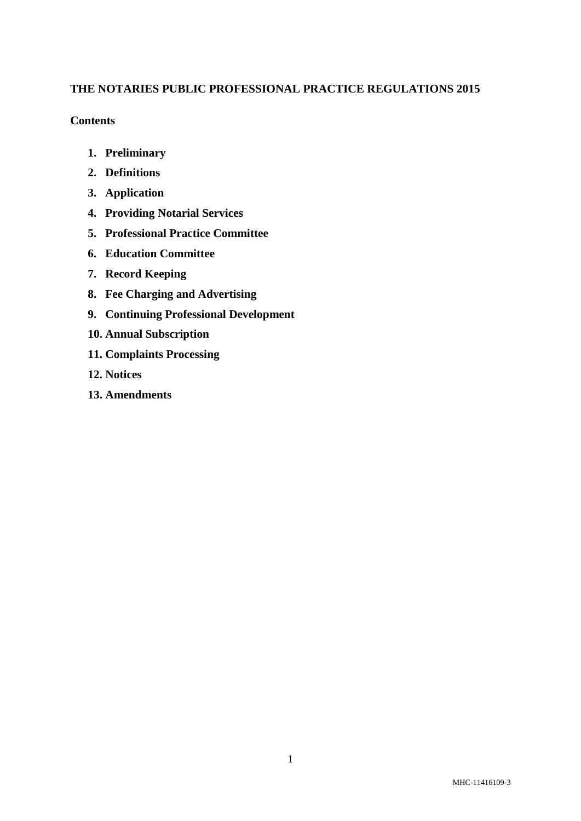# **THE NOTARIES PUBLIC PROFESSIONAL PRACTICE REGULATIONS 2015**

### **Contents**

- **1. Preliminary**
- **2. Definitions**
- **3. Application**
- **4. Providing Notarial Services**
- **5. Professional Practice Committee**
- **6. Education Committee**
- **7. Record Keeping**
- **8. Fee Charging and Advertising**
- **9. Continuing Professional Development**
- **10. Annual Subscription**
- **11. Complaints Processing**
- **12. Notices**
- **13. Amendments**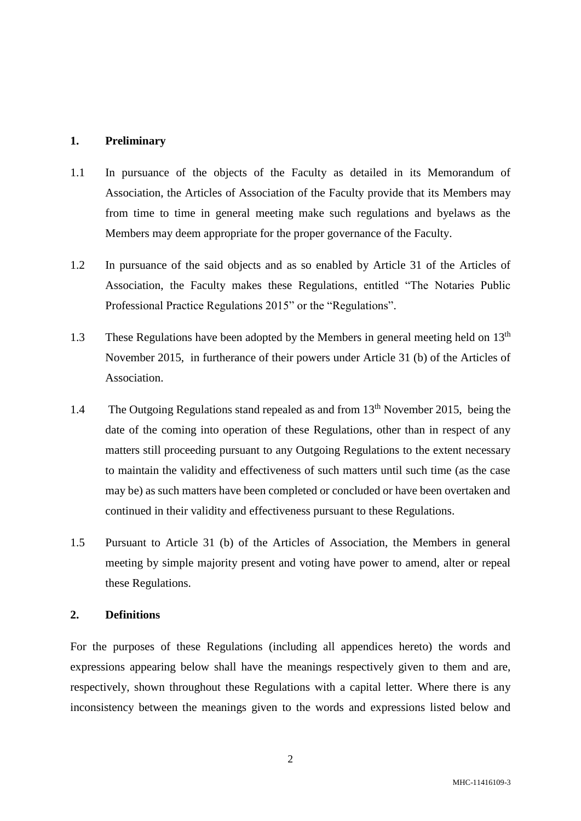#### **1. Preliminary**

- 1.1 In pursuance of the objects of the Faculty as detailed in its Memorandum of Association, the Articles of Association of the Faculty provide that its Members may from time to time in general meeting make such regulations and byelaws as the Members may deem appropriate for the proper governance of the Faculty.
- 1.2 In pursuance of the said objects and as so enabled by Article 31 of the Articles of Association, the Faculty makes these Regulations, entitled "The Notaries Public Professional Practice Regulations 2015" or the "Regulations".
- 1.3 These Regulations have been adopted by the Members in general meeting held on 13<sup>th</sup> November 2015, in furtherance of their powers under Article 31 (b) of the Articles of Association.
- 1.4 The Outgoing Regulations stand repealed as and from 13<sup>th</sup> November 2015, being the date of the coming into operation of these Regulations, other than in respect of any matters still proceeding pursuant to any Outgoing Regulations to the extent necessary to maintain the validity and effectiveness of such matters until such time (as the case may be) as such matters have been completed or concluded or have been overtaken and continued in their validity and effectiveness pursuant to these Regulations.
- 1.5 Pursuant to Article 31 (b) of the Articles of Association, the Members in general meeting by simple majority present and voting have power to amend, alter or repeal these Regulations.

#### **2. Definitions**

For the purposes of these Regulations (including all appendices hereto) the words and expressions appearing below shall have the meanings respectively given to them and are, respectively, shown throughout these Regulations with a capital letter. Where there is any inconsistency between the meanings given to the words and expressions listed below and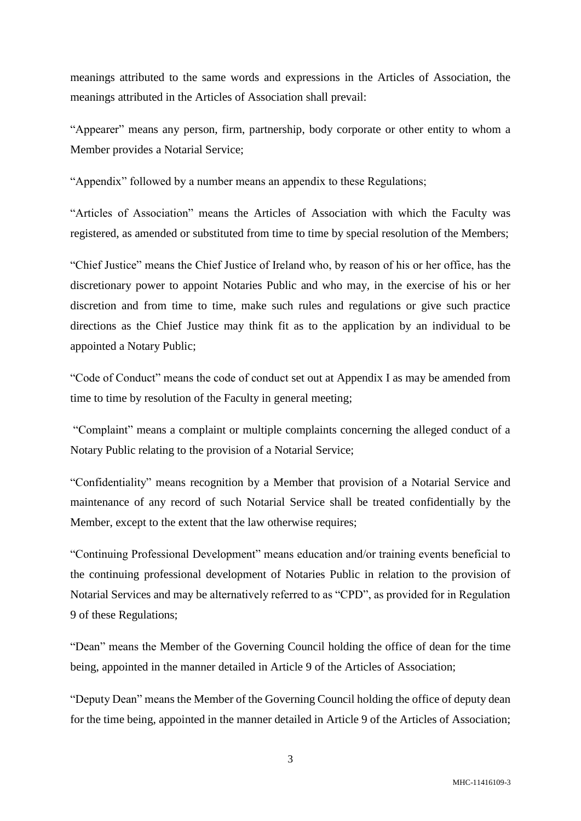meanings attributed to the same words and expressions in the Articles of Association, the meanings attributed in the Articles of Association shall prevail:

"Appearer" means any person, firm, partnership, body corporate or other entity to whom a Member provides a Notarial Service;

"Appendix" followed by a number means an appendix to these Regulations;

"Articles of Association" means the Articles of Association with which the Faculty was registered, as amended or substituted from time to time by special resolution of the Members;

"Chief Justice" means the Chief Justice of Ireland who, by reason of his or her office, has the discretionary power to appoint Notaries Public and who may, in the exercise of his or her discretion and from time to time, make such rules and regulations or give such practice directions as the Chief Justice may think fit as to the application by an individual to be appointed a Notary Public;

"Code of Conduct" means the code of conduct set out at Appendix I as may be amended from time to time by resolution of the Faculty in general meeting;

"Complaint" means a complaint or multiple complaints concerning the alleged conduct of a Notary Public relating to the provision of a Notarial Service;

"Confidentiality" means recognition by a Member that provision of a Notarial Service and maintenance of any record of such Notarial Service shall be treated confidentially by the Member, except to the extent that the law otherwise requires;

"Continuing Professional Development" means education and/or training events beneficial to the continuing professional development of Notaries Public in relation to the provision of Notarial Services and may be alternatively referred to as "CPD", as provided for in Regulation 9 of these Regulations;

"Dean" means the Member of the Governing Council holding the office of dean for the time being, appointed in the manner detailed in Article 9 of the Articles of Association;

"Deputy Dean" means the Member of the Governing Council holding the office of deputy dean for the time being, appointed in the manner detailed in Article 9 of the Articles of Association;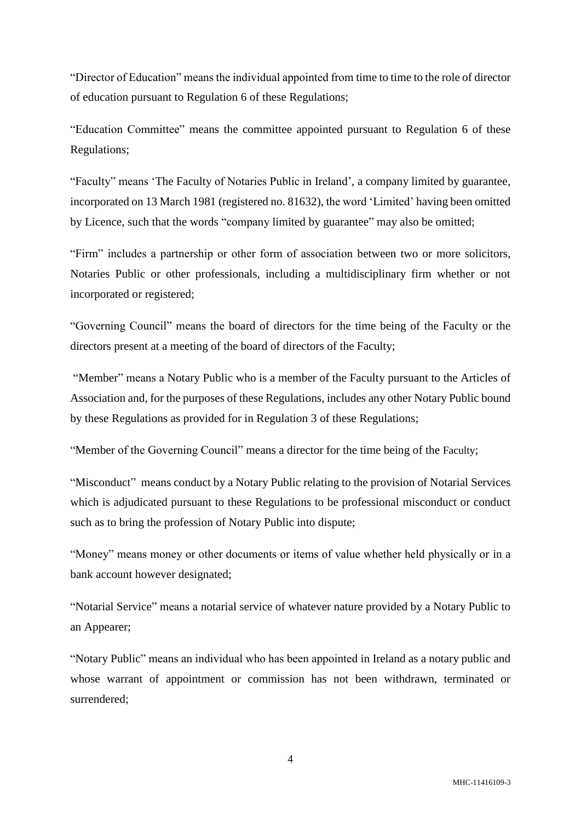"Director of Education" means the individual appointed from time to time to the role of director of education pursuant to Regulation [6](#page-6-0) of these Regulations;

"Education Committee" means the committee appointed pursuant to Regulation 6 of these Regulations;

"Faculty" means 'The Faculty of Notaries Public in Ireland', a company limited by guarantee, incorporated on 13 March 1981 (registered no. 81632), the word 'Limited' having been omitted by Licence, such that the words "company limited by guarantee" may also be omitted;

"Firm" includes a partnership or other form of association between two or more solicitors, Notaries Public or other professionals, including a multidisciplinary firm whether or not incorporated or registered;

"Governing Council" means the board of directors for the time being of the Faculty or the directors present at a meeting of the board of directors of the Faculty;

"Member" means a Notary Public who is a member of the Faculty pursuant to the Articles of Association and, for the purposes of these Regulations, includes any other Notary Public bound by these Regulations as provided for in Regulation [3](#page-4-0) of these Regulations;

"Member of the Governing Council" means a director for the time being of the Faculty;

"Misconduct" means conduct by a Notary Public relating to the provision of Notarial Services which is adjudicated pursuant to these Regulations to be professional misconduct or conduct such as to bring the profession of Notary Public into dispute;

"Money" means money or other documents or items of value whether held physically or in a bank account however designated;

"Notarial Service" means a notarial service of whatever nature provided by a Notary Public to an Appearer;

"Notary Public" means an individual who has been appointed in Ireland as a notary public and whose warrant of appointment or commission has not been withdrawn, terminated or surrendered;

4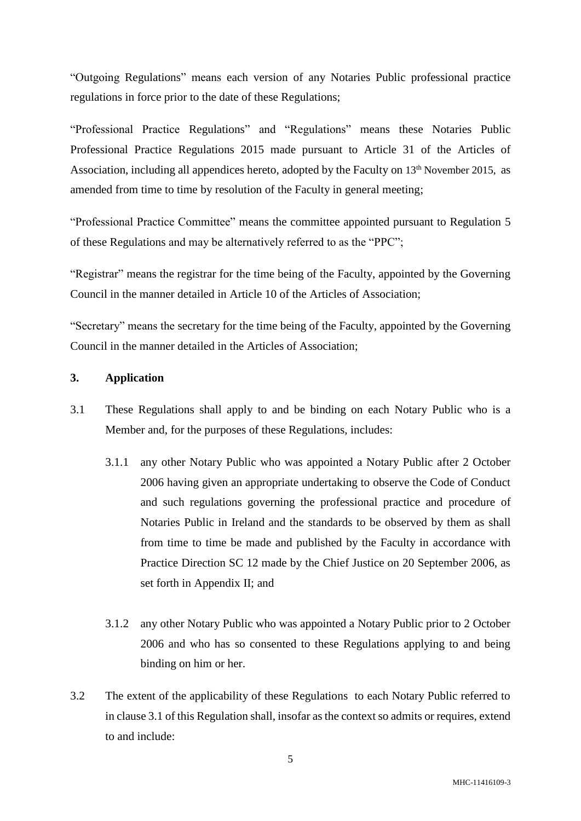"Outgoing Regulations" means each version of any Notaries Public professional practice regulations in force prior to the date of these Regulations;

"Professional Practice Regulations" and "Regulations" means these Notaries Public Professional Practice Regulations 2015 made pursuant to Article 31 of the Articles of Association, including all appendices hereto, adopted by the Faculty on  $13<sup>th</sup>$  November 2015, as amended from time to time by resolution of the Faculty in general meeting;

"Professional Practice Committee" means the committee appointed pursuant to Regulation 5 of these Regulations and may be alternatively referred to as the "PPC";

"Registrar" means the registrar for the time being of the Faculty, appointed by the Governing Council in the manner detailed in Article 10 of the Articles of Association;

"Secretary" means the secretary for the time being of the Faculty, appointed by the Governing Council in the manner detailed in the Articles of Association;

#### <span id="page-4-0"></span>**3. Application**

- <span id="page-4-1"></span>3.1 These Regulations shall apply to and be binding on each Notary Public who is a Member and, for the purposes of these Regulations, includes:
	- 3.1.1 any other Notary Public who was appointed a Notary Public after 2 October 2006 having given an appropriate undertaking to observe the Code of Conduct and such regulations governing the professional practice and procedure of Notaries Public in Ireland and the standards to be observed by them as shall from time to time be made and published by the Faculty in accordance with Practice Direction SC 12 made by the Chief Justice on 20 September 2006, as set forth in Appendix II; and
	- 3.1.2 any other Notary Public who was appointed a Notary Public prior to 2 October 2006 and who has so consented to these Regulations applying to and being binding on him or her.
- 3.2 The extent of the applicability of these Regulations to each Notary Public referred to in clause [3.1](#page-4-1) of this Regulation shall, insofar as the context so admits or requires, extend to and include: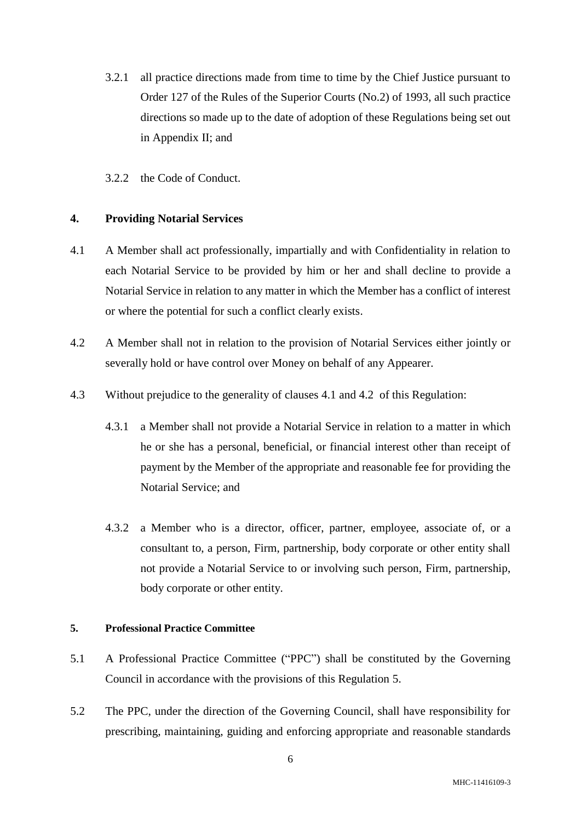- 3.2.1 all practice directions made from time to time by the Chief Justice pursuant to Order 127 of the Rules of the Superior Courts (No.2) of 1993, all such practice directions so made up to the date of adoption of these Regulations being set out in Appendix II; and
- 3.2.2 the Code of Conduct.

## **4. Providing Notarial Services**

- <span id="page-5-0"></span>4.1 A Member shall act professionally, impartially and with Confidentiality in relation to each Notarial Service to be provided by him or her and shall decline to provide a Notarial Service in relation to any matter in which the Member has a conflict of interest or where the potential for such a conflict clearly exists.
- <span id="page-5-1"></span>4.2 A Member shall not in relation to the provision of Notarial Services either jointly or severally hold or have control over Money on behalf of any Appearer.
- 4.3 Without prejudice to the generality of clauses [4.1](#page-5-0) and [4.2](#page-5-1) of this Regulation:
	- 4.3.1 a Member shall not provide a Notarial Service in relation to a matter in which he or she has a personal, beneficial, or financial interest other than receipt of payment by the Member of the appropriate and reasonable fee for providing the Notarial Service; and
	- 4.3.2 a Member who is a director, officer, partner, employee, associate of, or a consultant to, a person, Firm, partnership, body corporate or other entity shall not provide a Notarial Service to or involving such person, Firm, partnership, body corporate or other entity.

### <span id="page-5-2"></span>**5. Professional Practice Committee**

- 5.1 A Professional Practice Committee ("PPC") shall be constituted by the Governing Council in accordance with the provisions of this Regulation [5.](#page-5-2)
- <span id="page-5-3"></span>5.2 The PPC, under the direction of the Governing Council, shall have responsibility for prescribing, maintaining, guiding and enforcing appropriate and reasonable standards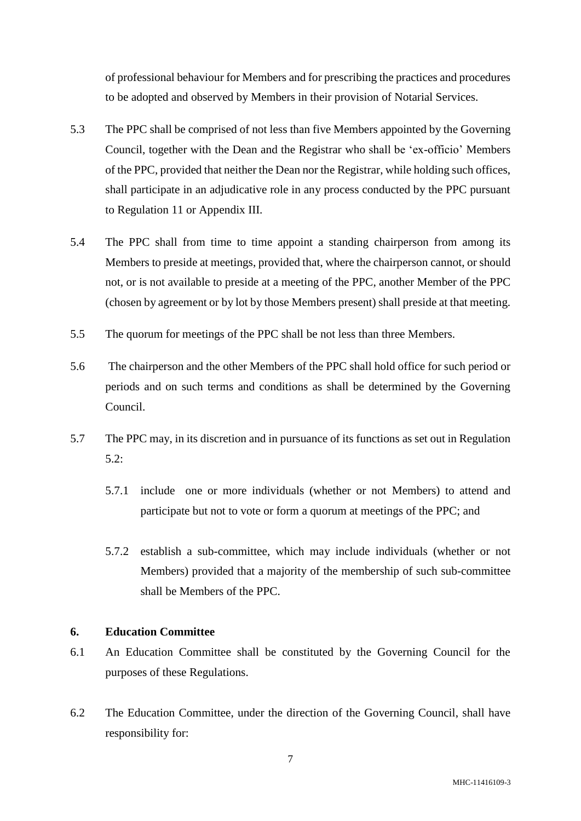of professional behaviour for Members and for prescribing the practices and procedures to be adopted and observed by Members in their provision of Notarial Services.

- 5.3 The PPC shall be comprised of not less than five Members appointed by the Governing Council, together with the Dean and the Registrar who shall be 'ex-officio' Members of the PPC, provided that neither the Dean nor the Registrar, while holding such offices, shall participate in an adjudicative role in any process conducted by the PPC pursuant to Regulation [11](#page-10-0) or Appendix III.
- 5.4 The PPC shall from time to time appoint a standing chairperson from among its Members to preside at meetings, provided that, where the chairperson cannot, or should not, or is not available to preside at a meeting of the PPC, another Member of the PPC (chosen by agreement or by lot by those Members present) shall preside at that meeting.
- 5.5 The quorum for meetings of the PPC shall be not less than three Members.
- 5.6 The chairperson and the other Members of the PPC shall hold office for such period or periods and on such terms and conditions as shall be determined by the Governing Council.
- 5.7 The PPC may, in its discretion and in pursuance of its functions as set out in Regulation [5.2:](#page-5-3)
	- 5.7.1 include one or more individuals (whether or not Members) to attend and participate but not to vote or form a quorum at meetings of the PPC; and
	- 5.7.2 establish a sub-committee, which may include individuals (whether or not Members) provided that a majority of the membership of such sub-committee shall be Members of the PPC.

#### <span id="page-6-0"></span>**6. Education Committee**

- 6.1 An Education Committee shall be constituted by the Governing Council for the purposes of these Regulations.
- <span id="page-6-1"></span>6.2 The Education Committee, under the direction of the Governing Council, shall have responsibility for: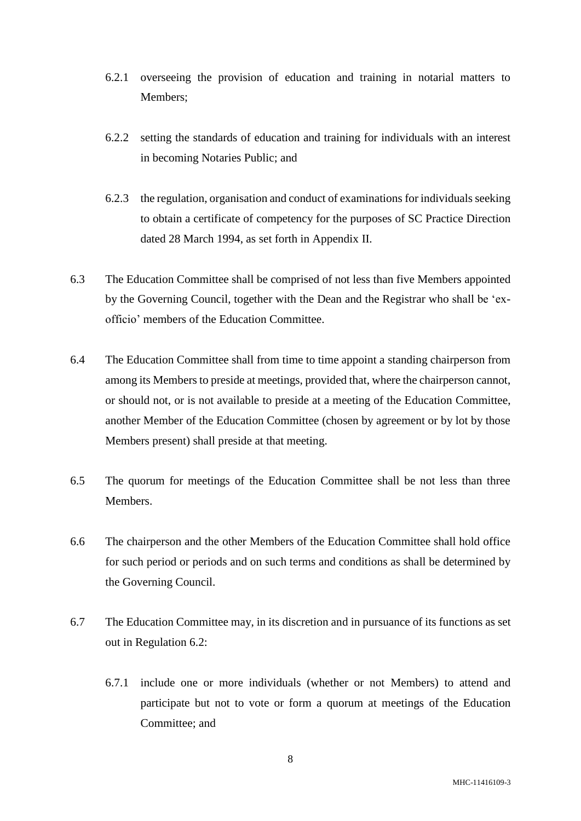- 6.2.1 overseeing the provision of education and training in notarial matters to Members;
- 6.2.2 setting the standards of education and training for individuals with an interest in becoming Notaries Public; and
- 6.2.3 the regulation, organisation and conduct of examinations for individuals seeking to obtain a certificate of competency for the purposes of SC Practice Direction dated 28 March 1994, as set forth in Appendix II.
- 6.3 The Education Committee shall be comprised of not less than five Members appointed by the Governing Council, together with the Dean and the Registrar who shall be 'exofficio' members of the Education Committee.
- 6.4 The Education Committee shall from time to time appoint a standing chairperson from among its Members to preside at meetings, provided that, where the chairperson cannot, or should not, or is not available to preside at a meeting of the Education Committee, another Member of the Education Committee (chosen by agreement or by lot by those Members present) shall preside at that meeting.
- 6.5 The quorum for meetings of the Education Committee shall be not less than three Members.
- 6.6 The chairperson and the other Members of the Education Committee shall hold office for such period or periods and on such terms and conditions as shall be determined by the Governing Council.
- 6.7 The Education Committee may, in its discretion and in pursuance of its functions as set out in Regulation [6.2:](#page-6-1)
	- 6.7.1 include one or more individuals (whether or not Members) to attend and participate but not to vote or form a quorum at meetings of the Education Committee; and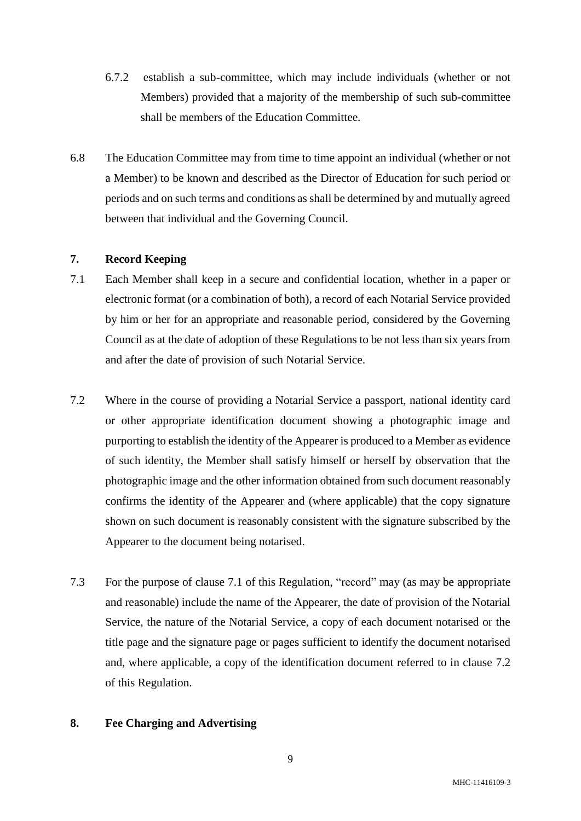- 6.7.2 establish a sub-committee, which may include individuals (whether or not Members) provided that a majority of the membership of such sub-committee shall be members of the Education Committee.
- 6.8 The Education Committee may from time to time appoint an individual (whether or not a Member) to be known and described as the Director of Education for such period or periods and on such terms and conditions as shall be determined by and mutually agreed between that individual and the Governing Council.

## **7. Record Keeping**

- <span id="page-8-0"></span>7.1 Each Member shall keep in a secure and confidential location, whether in a paper or electronic format (or a combination of both), a record of each Notarial Service provided by him or her for an appropriate and reasonable period, considered by the Governing Council as at the date of adoption of these Regulations to be not less than six years from and after the date of provision of such Notarial Service.
- <span id="page-8-1"></span>7.2 Where in the course of providing a Notarial Service a passport, national identity card or other appropriate identification document showing a photographic image and purporting to establish the identity of the Appearer is produced to a Member as evidence of such identity, the Member shall satisfy himself or herself by observation that the photographic image and the other information obtained from such document reasonably confirms the identity of the Appearer and (where applicable) that the copy signature shown on such document is reasonably consistent with the signature subscribed by the Appearer to the document being notarised.
- 7.3 For the purpose of clause [7.1](#page-8-0) of this Regulation, "record" may (as may be appropriate and reasonable) include the name of the Appearer, the date of provision of the Notarial Service, the nature of the Notarial Service, a copy of each document notarised or the title page and the signature page or pages sufficient to identify the document notarised and, where applicable, a copy of the identification document referred to in clause [7.2](#page-8-1) of this Regulation.

### **8. Fee Charging and Advertising**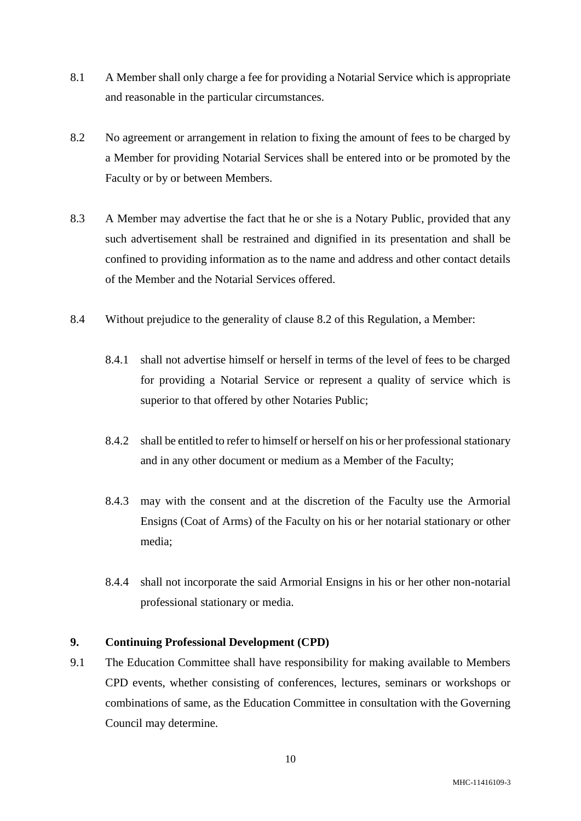- 8.1 A Member shall only charge a fee for providing a Notarial Service which is appropriate and reasonable in the particular circumstances.
- <span id="page-9-0"></span>8.2 No agreement or arrangement in relation to fixing the amount of fees to be charged by a Member for providing Notarial Services shall be entered into or be promoted by the Faculty or by or between Members.
- 8.3 A Member may advertise the fact that he or she is a Notary Public, provided that any such advertisement shall be restrained and dignified in its presentation and shall be confined to providing information as to the name and address and other contact details of the Member and the Notarial Services offered.
- 8.4 Without prejudice to the generality of clause [8.2](#page-9-0) of this Regulation, a Member:
	- 8.4.1 shall not advertise himself or herself in terms of the level of fees to be charged for providing a Notarial Service or represent a quality of service which is superior to that offered by other Notaries Public;
	- 8.4.2 shall be entitled to refer to himself or herself on his or her professional stationary and in any other document or medium as a Member of the Faculty;
	- 8.4.3 may with the consent and at the discretion of the Faculty use the Armorial Ensigns (Coat of Arms) of the Faculty on his or her notarial stationary or other media;
	- 8.4.4 shall not incorporate the said Armorial Ensigns in his or her other non-notarial professional stationary or media.

## **9. Continuing Professional Development (CPD)**

9.1 The Education Committee shall have responsibility for making available to Members CPD events, whether consisting of conferences, lectures, seminars or workshops or combinations of same, as the Education Committee in consultation with the Governing Council may determine.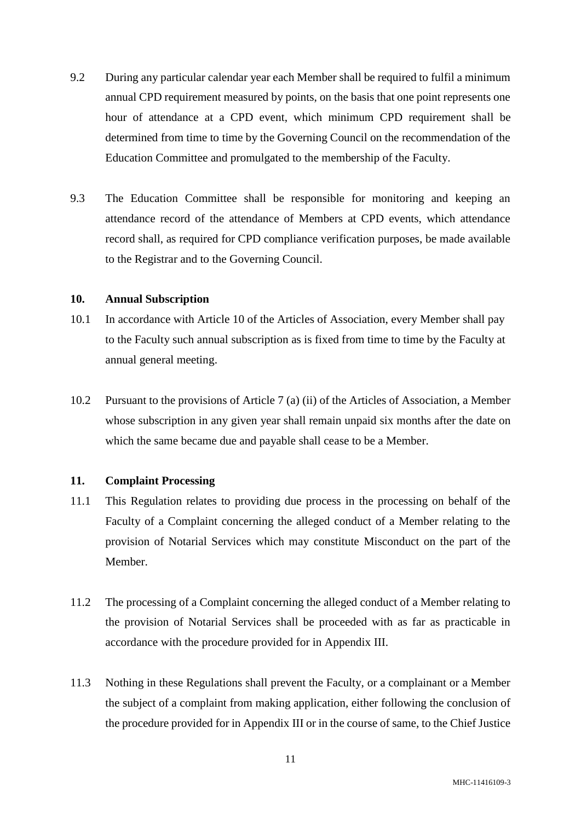- 9.2 During any particular calendar year each Member shall be required to fulfil a minimum annual CPD requirement measured by points, on the basis that one point represents one hour of attendance at a CPD event, which minimum CPD requirement shall be determined from time to time by the Governing Council on the recommendation of the Education Committee and promulgated to the membership of the Faculty.
- 9.3 The Education Committee shall be responsible for monitoring and keeping an attendance record of the attendance of Members at CPD events, which attendance record shall, as required for CPD compliance verification purposes, be made available to the Registrar and to the Governing Council.

### **10. Annual Subscription**

- 10.1 In accordance with Article 10 of the Articles of Association, every Member shall pay to the Faculty such annual subscription as is fixed from time to time by the Faculty at annual general meeting.
- 10.2 Pursuant to the provisions of Article 7 (a) (ii) of the Articles of Association, a Member whose subscription in any given year shall remain unpaid six months after the date on which the same became due and payable shall cease to be a Member.

## <span id="page-10-0"></span>**11. Complaint Processing**

- 11.1 This Regulation relates to providing due process in the processing on behalf of the Faculty of a Complaint concerning the alleged conduct of a Member relating to the provision of Notarial Services which may constitute Misconduct on the part of the Member.
- 11.2 The processing of a Complaint concerning the alleged conduct of a Member relating to the provision of Notarial Services shall be proceeded with as far as practicable in accordance with the procedure provided for in Appendix III.
- 11.3 Nothing in these Regulations shall prevent the Faculty, or a complainant or a Member the subject of a complaint from making application, either following the conclusion of the procedure provided for in Appendix III or in the course of same, to the Chief Justice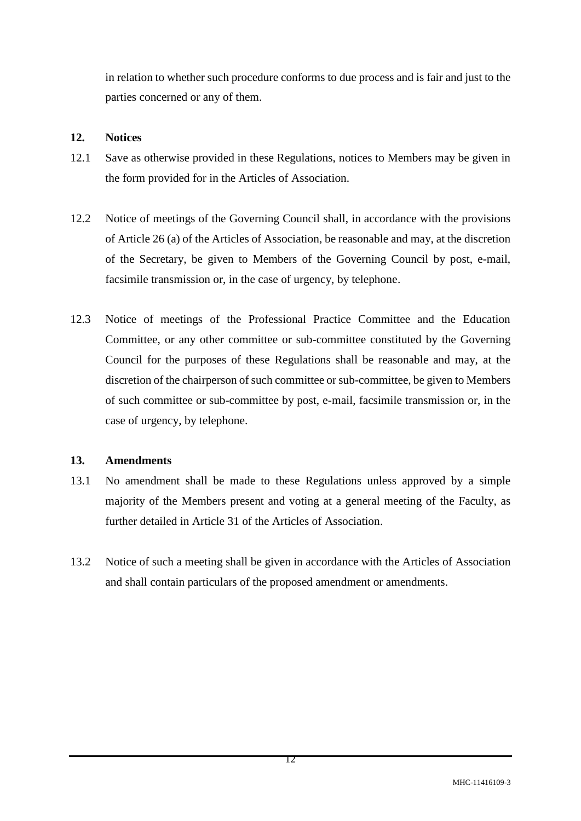in relation to whether such procedure conforms to due process and is fair and just to the parties concerned or any of them.

# **12. Notices**

- 12.1 Save as otherwise provided in these Regulations, notices to Members may be given in the form provided for in the Articles of Association.
- 12.2 Notice of meetings of the Governing Council shall, in accordance with the provisions of Article 26 (a) of the Articles of Association, be reasonable and may, at the discretion of the Secretary, be given to Members of the Governing Council by post, e-mail, facsimile transmission or, in the case of urgency, by telephone.
- 12.3 Notice of meetings of the Professional Practice Committee and the Education Committee, or any other committee or sub-committee constituted by the Governing Council for the purposes of these Regulations shall be reasonable and may, at the discretion of the chairperson of such committee or sub-committee, be given to Members of such committee or sub-committee by post, e-mail, facsimile transmission or, in the case of urgency, by telephone.

# **13. Amendments**

- 13.1 No amendment shall be made to these Regulations unless approved by a simple majority of the Members present and voting at a general meeting of the Faculty, as further detailed in Article 31 of the Articles of Association.
- 13.2 Notice of such a meeting shall be given in accordance with the Articles of Association and shall contain particulars of the proposed amendment or amendments.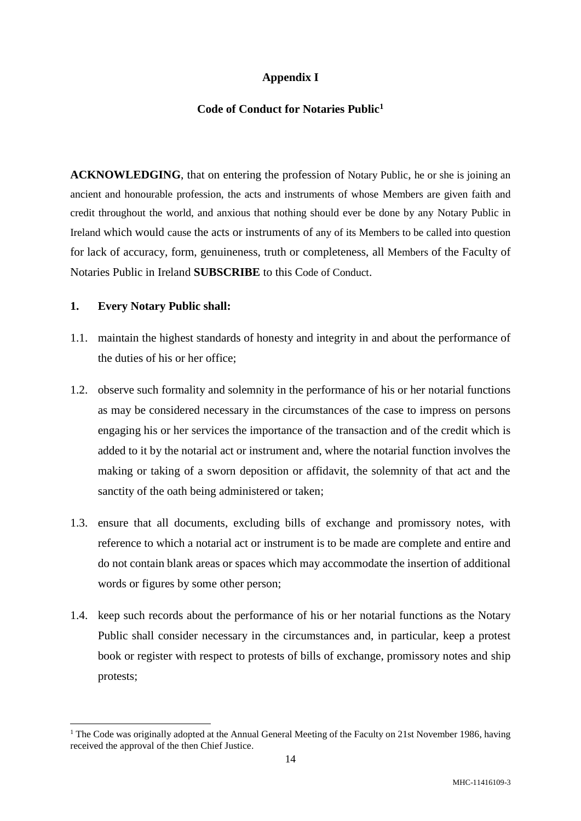# **Appendix I**

### **Code of Conduct for Notaries Public<sup>1</sup>**

**ACKNOWLEDGING**, that on entering the profession of Notary Public, he or she is joining an ancient and honourable profession, the acts and instruments of whose Members are given faith and credit throughout the world, and anxious that nothing should ever be done by any Notary Public in Ireland which would cause the acts or instruments of any of its Members to be called into question for lack of accuracy, form, genuineness, truth or completeness, all Members of the Faculty of Notaries Public in Ireland **SUBSCRIBE** to this Code of Conduct.

### **1. Every Notary Public shall:**

1

- 1.1. maintain the highest standards of honesty and integrity in and about the performance of the duties of his or her office;
- 1.2. observe such formality and solemnity in the performance of his or her notarial functions as may be considered necessary in the circumstances of the case to impress on persons engaging his or her services the importance of the transaction and of the credit which is added to it by the notarial act or instrument and, where the notarial function involves the making or taking of a sworn deposition or affidavit, the solemnity of that act and the sanctity of the oath being administered or taken;
- 1.3. ensure that all documents, excluding bills of exchange and promissory notes, with reference to which a notarial act or instrument is to be made are complete and entire and do not contain blank areas or spaces which may accommodate the insertion of additional words or figures by some other person;
- 1.4. keep such records about the performance of his or her notarial functions as the Notary Public shall consider necessary in the circumstances and, in particular, keep a protest book or register with respect to protests of bills of exchange, promissory notes and ship protests;

<sup>&</sup>lt;sup>1</sup> The Code was originally adopted at the Annual General Meeting of the Faculty on 21st November 1986, having received the approval of the then Chief Justice.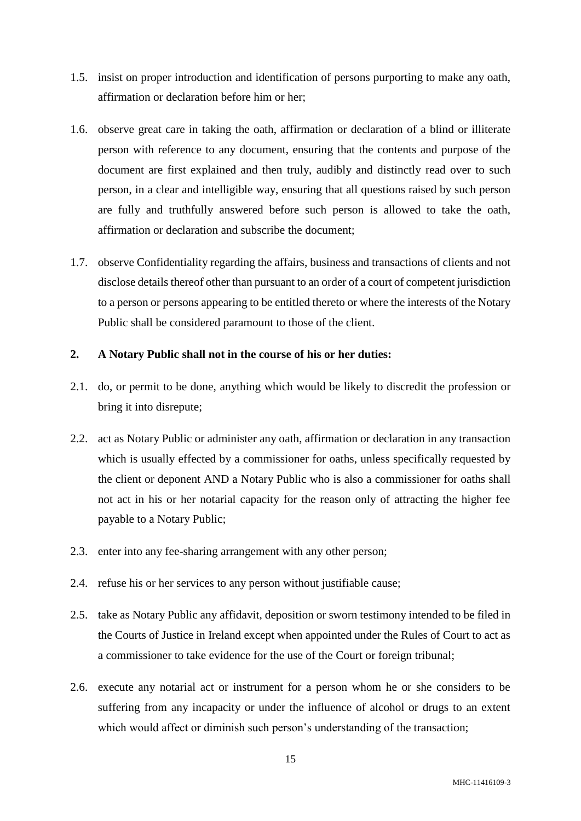- 1.5. insist on proper introduction and identification of persons purporting to make any oath, affirmation or declaration before him or her;
- 1.6. observe great care in taking the oath, affirmation or declaration of a blind or illiterate person with reference to any document, ensuring that the contents and purpose of the document are first explained and then truly, audibly and distinctly read over to such person, in a clear and intelligible way, ensuring that all questions raised by such person are fully and truthfully answered before such person is allowed to take the oath, affirmation or declaration and subscribe the document;
- 1.7. observe Confidentiality regarding the affairs, business and transactions of clients and not disclose details thereof other than pursuant to an order of a court of competent jurisdiction to a person or persons appearing to be entitled thereto or where the interests of the Notary Public shall be considered paramount to those of the client.

### **2. A Notary Public shall not in the course of his or her duties:**

- 2.1. do, or permit to be done, anything which would be likely to discredit the profession or bring it into disrepute;
- 2.2. act as Notary Public or administer any oath, affirmation or declaration in any transaction which is usually effected by a commissioner for oaths, unless specifically requested by the client or deponent AND a Notary Public who is also a commissioner for oaths shall not act in his or her notarial capacity for the reason only of attracting the higher fee payable to a Notary Public;
- 2.3. enter into any fee-sharing arrangement with any other person;
- 2.4. refuse his or her services to any person without justifiable cause;
- 2.5. take as Notary Public any affidavit, deposition or sworn testimony intended to be filed in the Courts of Justice in Ireland except when appointed under the Rules of Court to act as a commissioner to take evidence for the use of the Court or foreign tribunal;
- 2.6. execute any notarial act or instrument for a person whom he or she considers to be suffering from any incapacity or under the influence of alcohol or drugs to an extent which would affect or diminish such person's understanding of the transaction;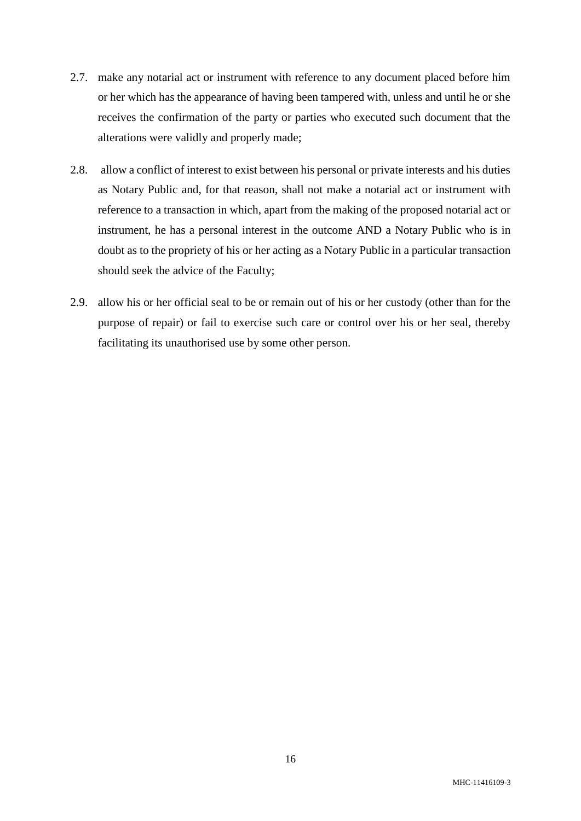- 2.7. make any notarial act or instrument with reference to any document placed before him or her which has the appearance of having been tampered with, unless and until he or she receives the confirmation of the party or parties who executed such document that the alterations were validly and properly made;
- 2.8. allow a conflict of interest to exist between his personal or private interests and his duties as Notary Public and, for that reason, shall not make a notarial act or instrument with reference to a transaction in which, apart from the making of the proposed notarial act or instrument, he has a personal interest in the outcome AND a Notary Public who is in doubt as to the propriety of his or her acting as a Notary Public in a particular transaction should seek the advice of the Faculty;
- 2.9. allow his or her official seal to be or remain out of his or her custody (other than for the purpose of repair) or fail to exercise such care or control over his or her seal, thereby facilitating its unauthorised use by some other person.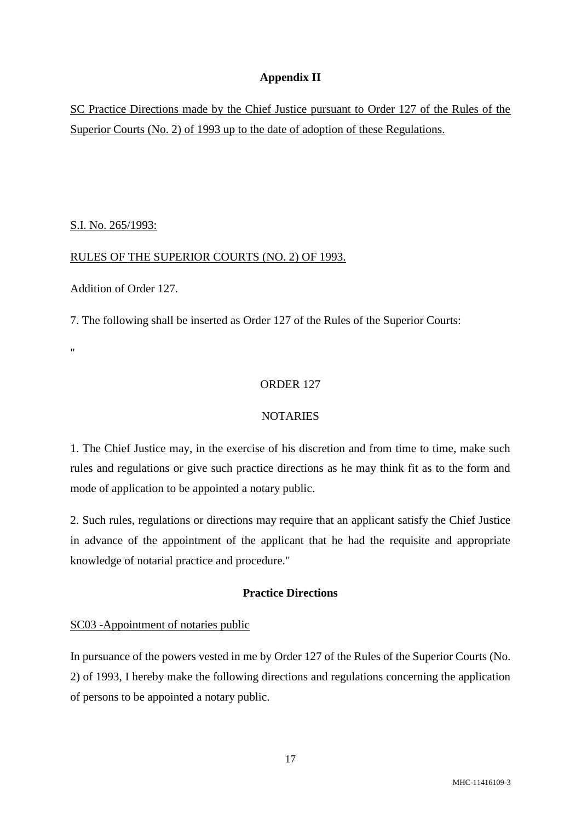# **Appendix II**

SC Practice Directions made by the Chief Justice pursuant to Order 127 of the Rules of the Superior Courts (No. 2) of 1993 up to the date of adoption of these Regulations.

S.I. No. 265/1993:

### RULES OF THE SUPERIOR COURTS (NO. 2) OF 1993.

Addition of Order 127.

7. The following shall be inserted as Order 127 of the Rules of the Superior Courts:

..

#### ORDER 127

#### NOTARIES

1. The Chief Justice may, in the exercise of his discretion and from time to time, make such rules and regulations or give such practice directions as he may think fit as to the form and mode of application to be appointed a notary public.

2. Such rules, regulations or directions may require that an applicant satisfy the Chief Justice in advance of the appointment of the applicant that he had the requisite and appropriate knowledge of notarial practice and procedure."

# **Practice Directions**

### SC03 -Appointment of notaries public

In pursuance of the powers vested in me by Order 127 of the Rules of the Superior Courts (No. 2) of 1993, I hereby make the following directions and regulations concerning the application of persons to be appointed a notary public.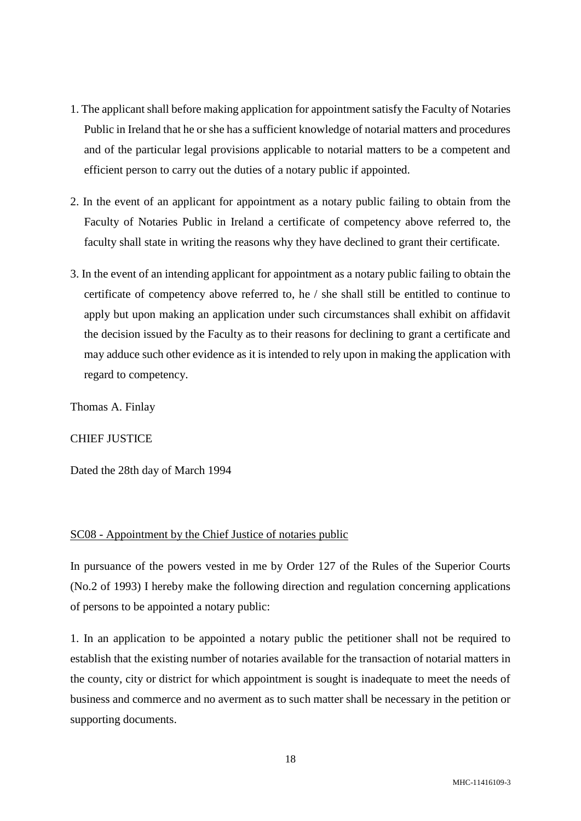- 1. The applicant shall before making application for appointment satisfy the Faculty of Notaries Public in Ireland that he or she has a sufficient knowledge of notarial matters and procedures and of the particular legal provisions applicable to notarial matters to be a competent and efficient person to carry out the duties of a notary public if appointed.
- 2. In the event of an applicant for appointment as a notary public failing to obtain from the Faculty of Notaries Public in Ireland a certificate of competency above referred to, the faculty shall state in writing the reasons why they have declined to grant their certificate.
- 3. In the event of an intending applicant for appointment as a notary public failing to obtain the certificate of competency above referred to, he / she shall still be entitled to continue to apply but upon making an application under such circumstances shall exhibit on affidavit the decision issued by the Faculty as to their reasons for declining to grant a certificate and may adduce such other evidence as it is intended to rely upon in making the application with regard to competency.

Thomas A. Finlay

### CHIEF JUSTICE

Dated the 28th day of March 1994

#### SC08 - Appointment by the Chief Justice of notaries public

In pursuance of the powers vested in me by Order 127 of the Rules of the Superior Courts (No.2 of 1993) I hereby make the following direction and regulation concerning applications of persons to be appointed a notary public:

1. In an application to be appointed a notary public the petitioner shall not be required to establish that the existing number of notaries available for the transaction of notarial matters in the county, city or district for which appointment is sought is inadequate to meet the needs of business and commerce and no averment as to such matter shall be necessary in the petition or supporting documents.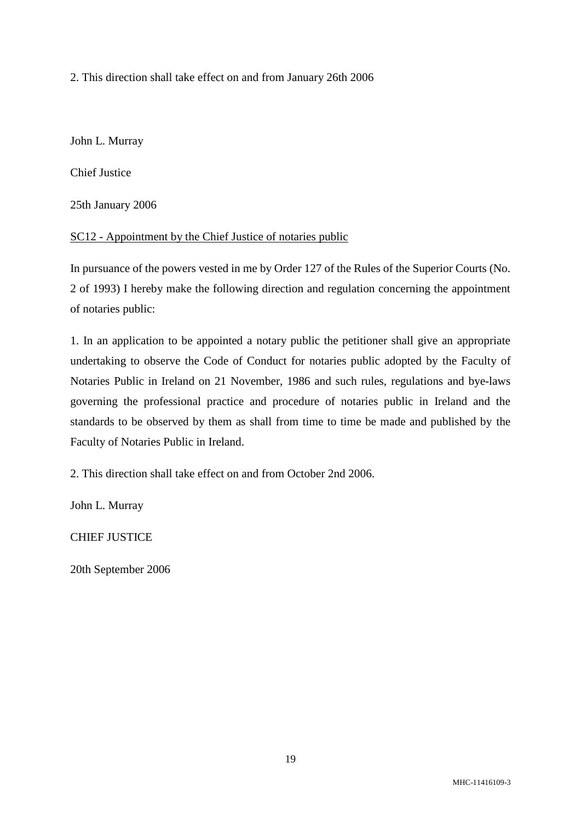2. This direction shall take effect on and from January 26th 2006

John L. Murray

Chief Justice

25th January 2006

SC12 - Appointment by the Chief Justice of notaries public

In pursuance of the powers vested in me by Order 127 of the Rules of the Superior Courts (No. 2 of 1993) I hereby make the following direction and regulation concerning the appointment of notaries public:

1. In an application to be appointed a notary public the petitioner shall give an appropriate undertaking to observe the Code of Conduct for notaries public adopted by the Faculty of Notaries Public in Ireland on 21 November, 1986 and such rules, regulations and bye-laws governing the professional practice and procedure of notaries public in Ireland and the standards to be observed by them as shall from time to time be made and published by the Faculty of Notaries Public in Ireland.

2. This direction shall take effect on and from October 2nd 2006.

John L. Murray

CHIEF JUSTICE

20th September 2006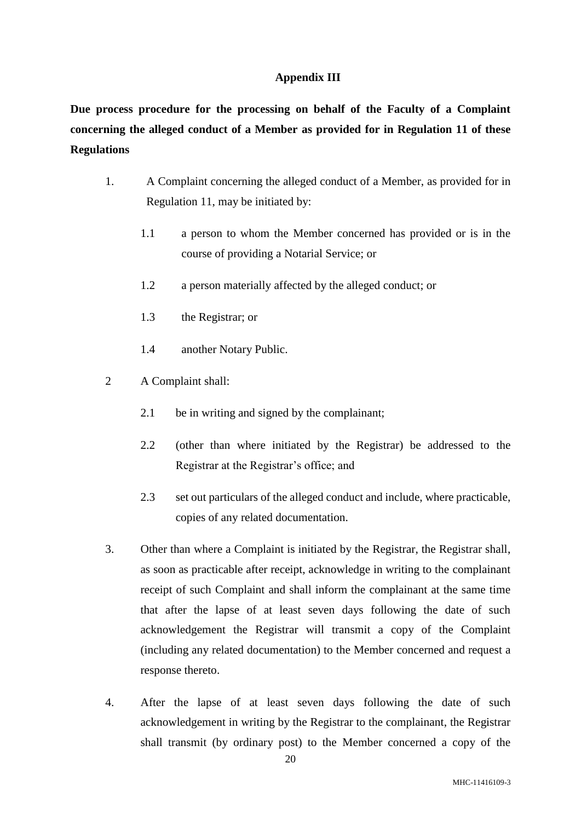# **Appendix III**

**Due process procedure for the processing on behalf of the Faculty of a Complaint concerning the alleged conduct of a Member as provided for in Regulation 11 of these Regulations**

- 1. A Complaint concerning the alleged conduct of a Member, as provided for in Regulation 11, may be initiated by:
	- 1.1 a person to whom the Member concerned has provided or is in the course of providing a Notarial Service; or
	- 1.2 a person materially affected by the alleged conduct; or
	- 1.3 the Registrar; or
	- 1.4 another Notary Public.
- 2 A Complaint shall:
	- 2.1 be in writing and signed by the complainant:
	- 2.2 (other than where initiated by the Registrar) be addressed to the Registrar at the Registrar's office; and
	- 2.3 set out particulars of the alleged conduct and include, where practicable, copies of any related documentation.
- 3. Other than where a Complaint is initiated by the Registrar, the Registrar shall, as soon as practicable after receipt, acknowledge in writing to the complainant receipt of such Complaint and shall inform the complainant at the same time that after the lapse of at least seven days following the date of such acknowledgement the Registrar will transmit a copy of the Complaint (including any related documentation) to the Member concerned and request a response thereto.
- 4. After the lapse of at least seven days following the date of such acknowledgement in writing by the Registrar to the complainant, the Registrar shall transmit (by ordinary post) to the Member concerned a copy of the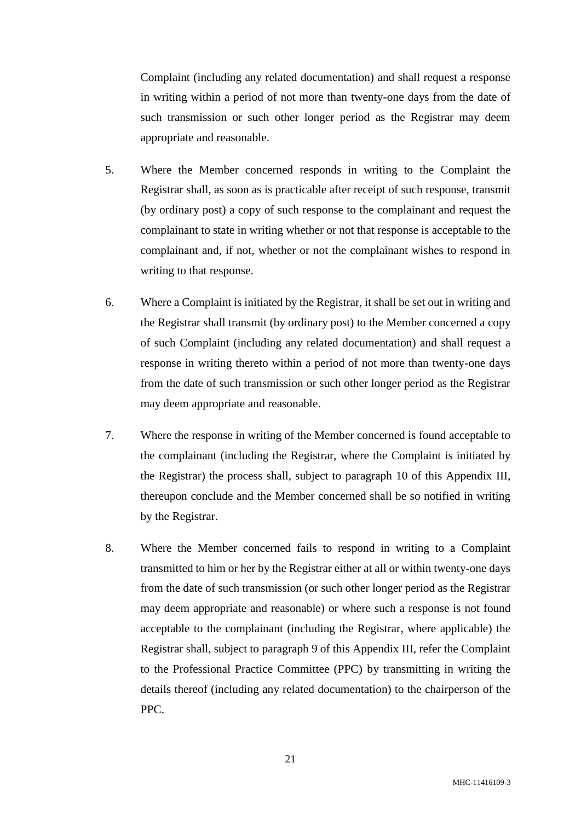Complaint (including any related documentation) and shall request a response in writing within a period of not more than twenty-one days from the date of such transmission or such other longer period as the Registrar may deem appropriate and reasonable.

- 5. Where the Member concerned responds in writing to the Complaint the Registrar shall, as soon as is practicable after receipt of such response, transmit (by ordinary post) a copy of such response to the complainant and request the complainant to state in writing whether or not that response is acceptable to the complainant and, if not, whether or not the complainant wishes to respond in writing to that response.
- 6. Where a Complaint is initiated by the Registrar, it shall be set out in writing and the Registrar shall transmit (by ordinary post) to the Member concerned a copy of such Complaint (including any related documentation) and shall request a response in writing thereto within a period of not more than twenty-one days from the date of such transmission or such other longer period as the Registrar may deem appropriate and reasonable.
- 7. Where the response in writing of the Member concerned is found acceptable to the complainant (including the Registrar, where the Complaint is initiated by the Registrar) the process shall, subject to paragraph 10 of this Appendix III, thereupon conclude and the Member concerned shall be so notified in writing by the Registrar.
- 8. Where the Member concerned fails to respond in writing to a Complaint transmitted to him or her by the Registrar either at all or within twenty-one days from the date of such transmission (or such other longer period as the Registrar may deem appropriate and reasonable) or where such a response is not found acceptable to the complainant (including the Registrar, where applicable) the Registrar shall, subject to paragraph 9 of this Appendix III, refer the Complaint to the Professional Practice Committee (PPC) by transmitting in writing the details thereof (including any related documentation) to the chairperson of the PPC.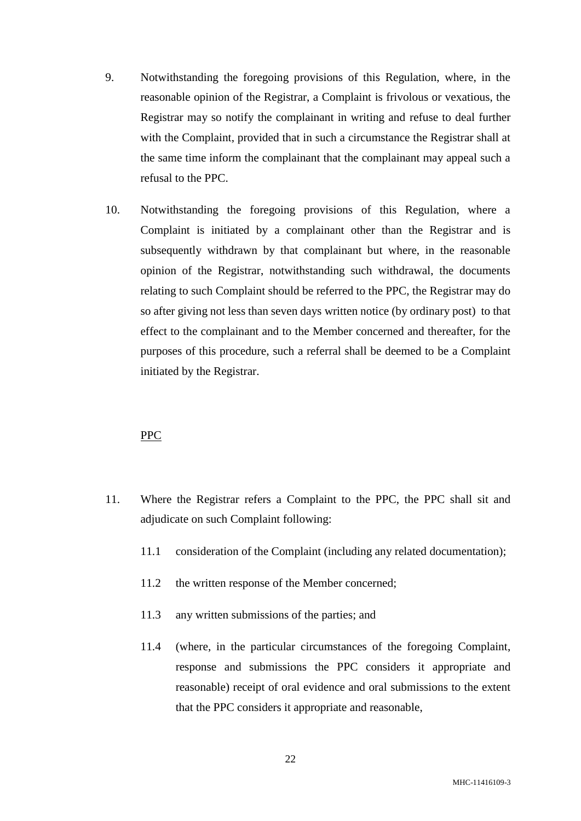- 9. Notwithstanding the foregoing provisions of this Regulation, where, in the reasonable opinion of the Registrar, a Complaint is frivolous or vexatious, the Registrar may so notify the complainant in writing and refuse to deal further with the Complaint, provided that in such a circumstance the Registrar shall at the same time inform the complainant that the complainant may appeal such a refusal to the PPC.
- 10. Notwithstanding the foregoing provisions of this Regulation, where a Complaint is initiated by a complainant other than the Registrar and is subsequently withdrawn by that complainant but where, in the reasonable opinion of the Registrar, notwithstanding such withdrawal, the documents relating to such Complaint should be referred to the PPC, the Registrar may do so after giving not less than seven days written notice (by ordinary post) to that effect to the complainant and to the Member concerned and thereafter, for the purposes of this procedure, such a referral shall be deemed to be a Complaint initiated by the Registrar.

### PPC

- 11. Where the Registrar refers a Complaint to the PPC, the PPC shall sit and adjudicate on such Complaint following:
	- 11.1 consideration of the Complaint (including any related documentation);
	- 11.2 the written response of the Member concerned;
	- 11.3 any written submissions of the parties; and
	- 11.4 (where, in the particular circumstances of the foregoing Complaint, response and submissions the PPC considers it appropriate and reasonable) receipt of oral evidence and oral submissions to the extent that the PPC considers it appropriate and reasonable,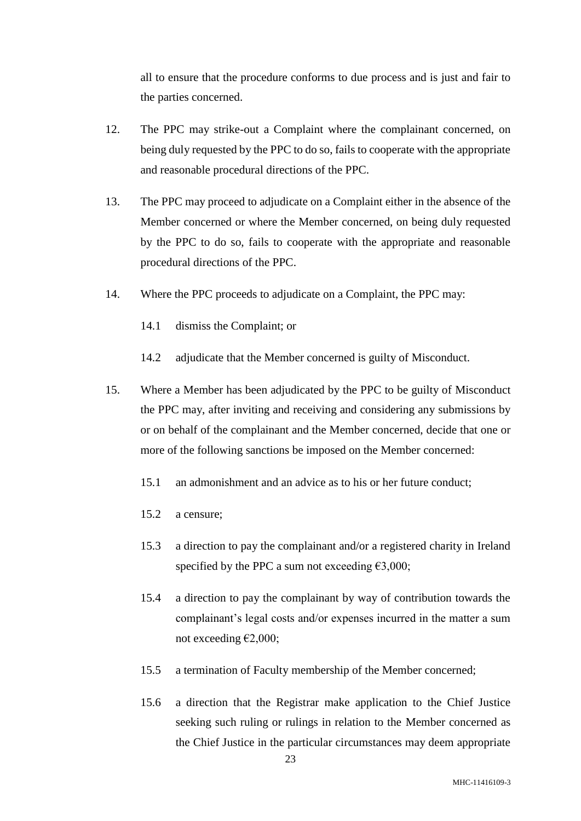all to ensure that the procedure conforms to due process and is just and fair to the parties concerned.

- 12. The PPC may strike-out a Complaint where the complainant concerned, on being duly requested by the PPC to do so, fails to cooperate with the appropriate and reasonable procedural directions of the PPC.
- 13. The PPC may proceed to adjudicate on a Complaint either in the absence of the Member concerned or where the Member concerned, on being duly requested by the PPC to do so, fails to cooperate with the appropriate and reasonable procedural directions of the PPC.
- 14. Where the PPC proceeds to adjudicate on a Complaint, the PPC may:
	- 14.1 dismiss the Complaint; or
	- 14.2 adjudicate that the Member concerned is guilty of Misconduct.
- 15. Where a Member has been adjudicated by the PPC to be guilty of Misconduct the PPC may, after inviting and receiving and considering any submissions by or on behalf of the complainant and the Member concerned, decide that one or more of the following sanctions be imposed on the Member concerned:
	- 15.1 an admonishment and an advice as to his or her future conduct;
	- 15.2 a censure;
	- 15.3 a direction to pay the complainant and/or a registered charity in Ireland specified by the PPC a sum not exceeding  $\epsilon$ 3,000;
	- 15.4 a direction to pay the complainant by way of contribution towards the complainant's legal costs and/or expenses incurred in the matter a sum not exceeding  $E2,000$ ;
	- 15.5 a termination of Faculty membership of the Member concerned;
	- 15.6 a direction that the Registrar make application to the Chief Justice seeking such ruling or rulings in relation to the Member concerned as the Chief Justice in the particular circumstances may deem appropriate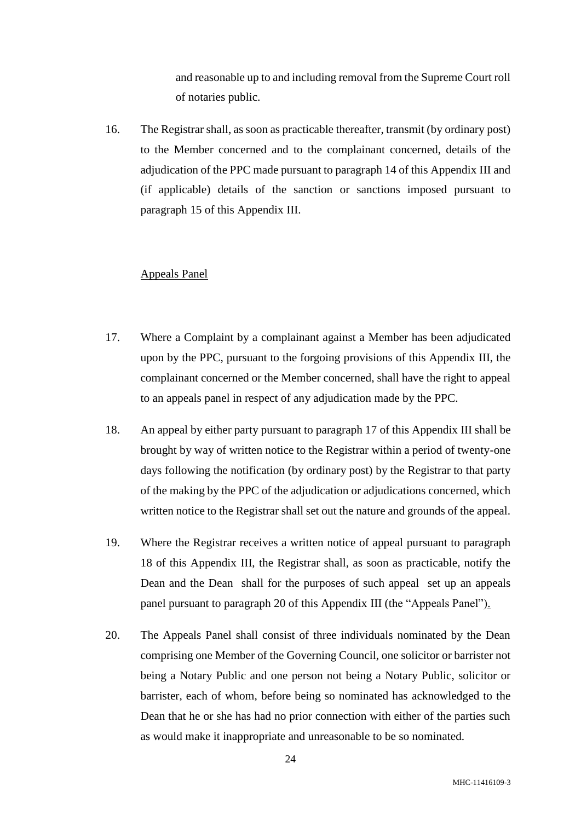and reasonable up to and including removal from the Supreme Court roll of notaries public.

16. The Registrar shall, as soon as practicable thereafter, transmit (by ordinary post) to the Member concerned and to the complainant concerned, details of the adjudication of the PPC made pursuant to paragraph 14 of this Appendix III and (if applicable) details of the sanction or sanctions imposed pursuant to paragraph 15 of this Appendix III.

#### Appeals Panel

- 17. Where a Complaint by a complainant against a Member has been adjudicated upon by the PPC, pursuant to the forgoing provisions of this Appendix III, the complainant concerned or the Member concerned, shall have the right to appeal to an appeals panel in respect of any adjudication made by the PPC.
- 18. An appeal by either party pursuant to paragraph 17 of this Appendix III shall be brought by way of written notice to the Registrar within a period of twenty-one days following the notification (by ordinary post) by the Registrar to that party of the making by the PPC of the adjudication or adjudications concerned, which written notice to the Registrar shall set out the nature and grounds of the appeal.
- 19. Where the Registrar receives a written notice of appeal pursuant to paragraph 18 of this Appendix III, the Registrar shall, as soon as practicable, notify the Dean and the Dean shall for the purposes of such appeal set up an appeals panel pursuant to paragraph 20 of this Appendix III (the "Appeals Panel").
- 20. The Appeals Panel shall consist of three individuals nominated by the Dean comprising one Member of the Governing Council, one solicitor or barrister not being a Notary Public and one person not being a Notary Public, solicitor or barrister, each of whom, before being so nominated has acknowledged to the Dean that he or she has had no prior connection with either of the parties such as would make it inappropriate and unreasonable to be so nominated.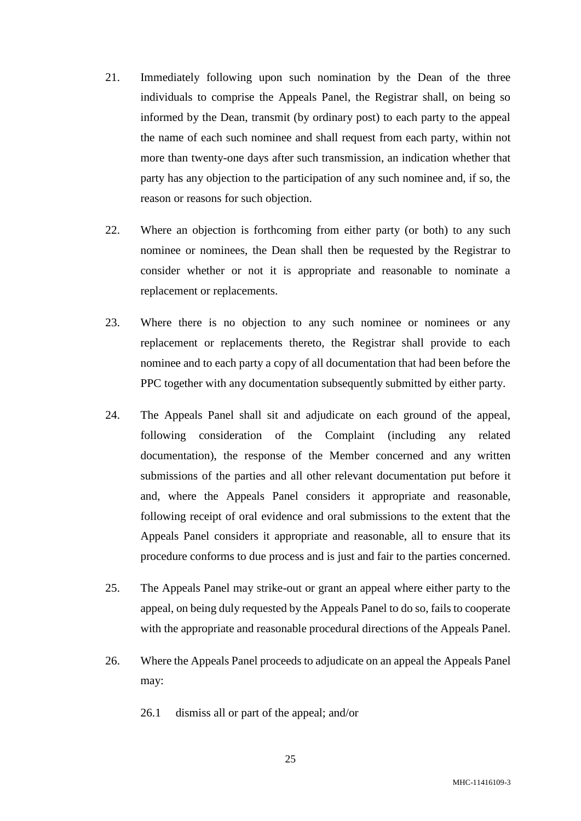- 21. Immediately following upon such nomination by the Dean of the three individuals to comprise the Appeals Panel, the Registrar shall, on being so informed by the Dean, transmit (by ordinary post) to each party to the appeal the name of each such nominee and shall request from each party, within not more than twenty-one days after such transmission, an indication whether that party has any objection to the participation of any such nominee and, if so, the reason or reasons for such objection.
- 22. Where an objection is forthcoming from either party (or both) to any such nominee or nominees, the Dean shall then be requested by the Registrar to consider whether or not it is appropriate and reasonable to nominate a replacement or replacements.
- 23. Where there is no objection to any such nominee or nominees or any replacement or replacements thereto, the Registrar shall provide to each nominee and to each party a copy of all documentation that had been before the PPC together with any documentation subsequently submitted by either party.
- 24. The Appeals Panel shall sit and adjudicate on each ground of the appeal, following consideration of the Complaint (including any related documentation), the response of the Member concerned and any written submissions of the parties and all other relevant documentation put before it and, where the Appeals Panel considers it appropriate and reasonable, following receipt of oral evidence and oral submissions to the extent that the Appeals Panel considers it appropriate and reasonable, all to ensure that its procedure conforms to due process and is just and fair to the parties concerned.
- 25. The Appeals Panel may strike-out or grant an appeal where either party to the appeal, on being duly requested by the Appeals Panel to do so, fails to cooperate with the appropriate and reasonable procedural directions of the Appeals Panel.
- 26. Where the Appeals Panel proceeds to adjudicate on an appeal the Appeals Panel may:
	- 26.1 dismiss all or part of the appeal; and/or